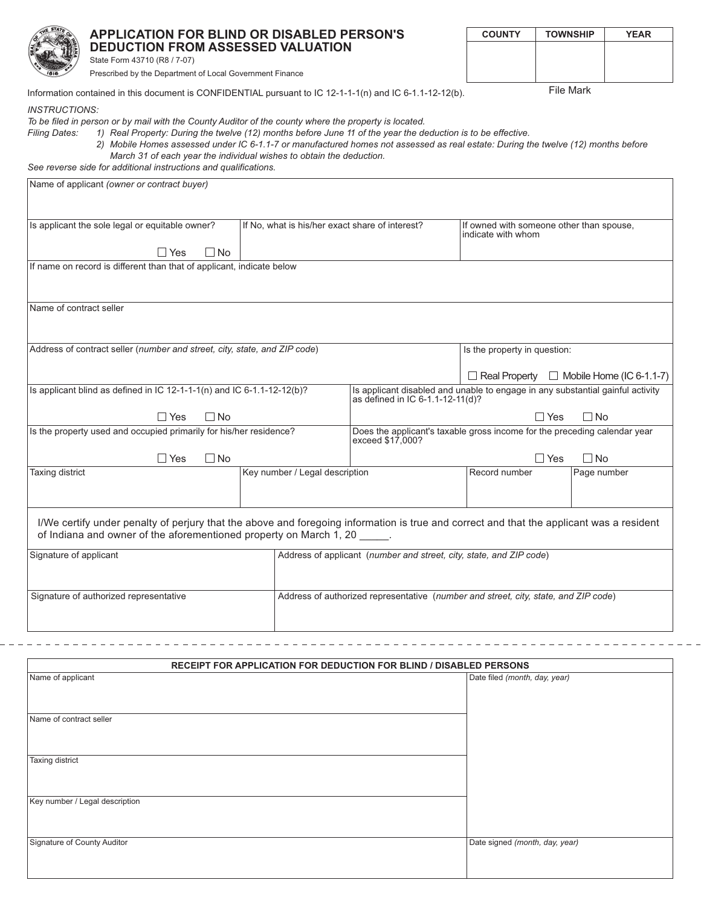|                                                                                                                       | <b>DEDUCTION FROM ASSESSED VALUATION</b><br>State Form 43710 (R8 / 7-07)<br>Prescribed by the Department of Local Government Finance | <b>APPLICATION FOR BLIND OR DISABLED PERSON'S</b>                                                                                                                                                                                                                                                                                                                                                                                  | <b>COUNTY</b>                                                  | <b>TOWNSHIP</b> | <b>YEAR</b> |  |  |
|-----------------------------------------------------------------------------------------------------------------------|--------------------------------------------------------------------------------------------------------------------------------------|------------------------------------------------------------------------------------------------------------------------------------------------------------------------------------------------------------------------------------------------------------------------------------------------------------------------------------------------------------------------------------------------------------------------------------|----------------------------------------------------------------|-----------------|-------------|--|--|
| File Mark<br>Information contained in this document is CONFIDENTIAL pursuant to IC 12-1-1-1(n) and IC 6-1.1-12-12(b). |                                                                                                                                      |                                                                                                                                                                                                                                                                                                                                                                                                                                    |                                                                |                 |             |  |  |
| <i><b>INSTRUCTIONS:</b></i><br><b>Filing Dates:</b>                                                                   | See reverse side for additional instructions and qualifications.                                                                     | To be filed in person or by mail with the County Auditor of the county where the property is located.<br>1) Real Property: During the twelve (12) months before June 11 of the year the deduction is to be effective.<br>2) Mobile Homes assessed under IC 6-1.1-7 or manufactured homes not assessed as real estate: During the twelve (12) months before<br>March 31 of each year the individual wishes to obtain the deduction. |                                                                |                 |             |  |  |
| Name of applicant (owner or contract buyer)                                                                           |                                                                                                                                      |                                                                                                                                                                                                                                                                                                                                                                                                                                    |                                                                |                 |             |  |  |
|                                                                                                                       | Is applicant the sole legal or equitable owner?                                                                                      | If No, what is his/her exact share of interest?                                                                                                                                                                                                                                                                                                                                                                                    | If owned with someone other than spouse,<br>indicate with whom |                 |             |  |  |

If name on record is different than that of applicant, indicate below

 $\Box$  Yes

 $\Box$  No

| Name of contract seller                                                                                                                                                                                        |                                                                     |                                                                                                                    |                              |                                                      |  |  |  |
|----------------------------------------------------------------------------------------------------------------------------------------------------------------------------------------------------------------|---------------------------------------------------------------------|--------------------------------------------------------------------------------------------------------------------|------------------------------|------------------------------------------------------|--|--|--|
| Address of contract seller (number and street, city, state, and ZIP code)                                                                                                                                      |                                                                     |                                                                                                                    | Is the property in question: |                                                      |  |  |  |
|                                                                                                                                                                                                                |                                                                     |                                                                                                                    |                              | $\Box$ Real Property $\Box$ Mobile Home (IC 6-1.1-7) |  |  |  |
| Is applicant blind as defined in IC $12-1-1(n)$ and IC 6-1.1-12-12(b)?                                                                                                                                         |                                                                     | Is applicant disabled and unable to engage in any substantial gainful activity<br>as defined in IC 6-1.1-12-11(d)? |                              |                                                      |  |  |  |
| $\Box$ No<br>$\Box$ Yes                                                                                                                                                                                        |                                                                     | $\Box$ Yes<br>$\Box$ No                                                                                            |                              |                                                      |  |  |  |
| Is the property used and occupied primarily for his/her residence?                                                                                                                                             |                                                                     | Does the applicant's taxable gross income for the preceding calendar year<br>exceed \$17,000?                      |                              |                                                      |  |  |  |
| $\Box$ No<br>∏ Yes                                                                                                                                                                                             |                                                                     | $\Box$ Yes<br>$\Box$ No                                                                                            |                              |                                                      |  |  |  |
| Taxing district                                                                                                                                                                                                | Key number / Legal description                                      | Record number                                                                                                      |                              | Page number                                          |  |  |  |
|                                                                                                                                                                                                                |                                                                     |                                                                                                                    |                              |                                                      |  |  |  |
| I/We certify under penalty of perjury that the above and foregoing information is true and correct and that the applicant was a resident<br>of Indiana and owner of the aforementioned property on March 1, 20 |                                                                     |                                                                                                                    |                              |                                                      |  |  |  |
| Signature of applicant                                                                                                                                                                                         | Address of applicant (number and street, city, state, and ZIP code) |                                                                                                                    |                              |                                                      |  |  |  |
| Signature of authorized representative                                                                                                                                                                         |                                                                     | Address of authorized representative (number and street, city, state, and ZIP code)                                |                              |                                                      |  |  |  |

| <b>RECEIPT FOR APPLICATION FOR DEDUCTION FOR BLIND / DISABLED PERSONS</b> |                                |  |  |  |
|---------------------------------------------------------------------------|--------------------------------|--|--|--|
| Name of applicant                                                         | Date filed (month, day, year)  |  |  |  |
| Name of contract seller                                                   |                                |  |  |  |
| Taxing district                                                           |                                |  |  |  |
| Key number / Legal description                                            |                                |  |  |  |
| Signature of County Auditor                                               | Date signed (month, day, year) |  |  |  |